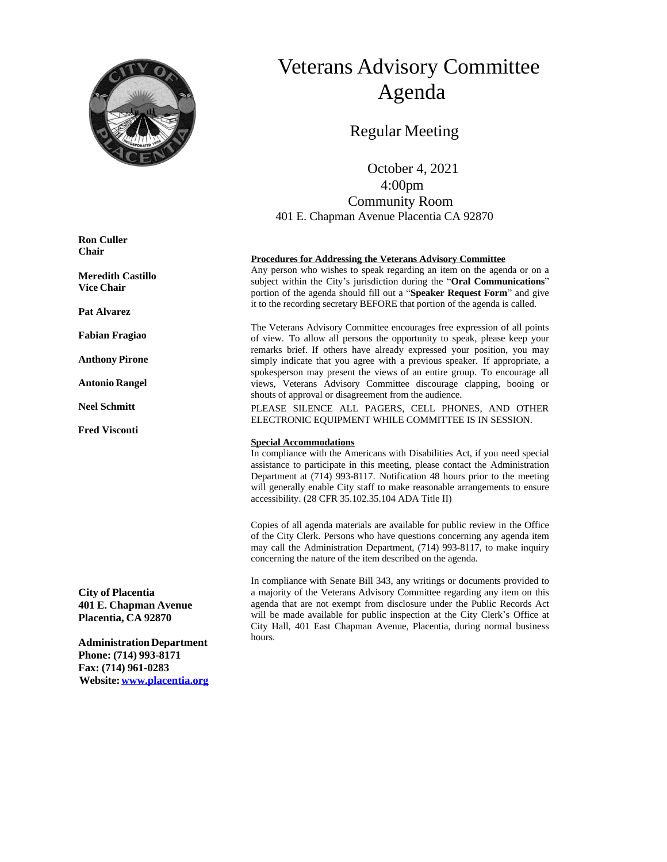

# Veterans Advisory Committee Agenda

# Regular Meeting

 October 4, 2021 4:00pm Community Room 401 E. Chapman Avenue Placentia CA 92870

#### **Procedures for Addressing the Veterans Advisory Committee**

Any person who wishes to speak regarding an item on the agenda or on a subject within the City's jurisdiction during the "**Oral Communications**" portion of the agenda should fill out a "**Speaker Request Form**" and give it to the recording secretary BEFORE that portion of the agenda is called.

The Veterans Advisory Committee encourages free expression of all points of view. To allow all persons the opportunity to speak, please keep your remarks brief. If others have already expressed your position, you may simply indicate that you agree with a previous speaker. If appropriate, a spokesperson may present the views of an entire group. To encourage all views, Veterans Advisory Committee discourage clapping, booing or shouts of approval or disagreement from the audience.

PLEASE SILENCE ALL PAGERS, CELL PHONES, AND OTHER ELECTRONIC EQUIPMENT WHILE COMMITTEE IS IN SESSION.

#### **Special Accommodations**

In compliance with the Americans with Disabilities Act, if you need special assistance to participate in this meeting, please contact the Administration Department at (714) 993-8117. Notification 48 hours prior to the meeting will generally enable City staff to make reasonable arrangements to ensure accessibility. (28 CFR 35.102.35.104 ADA Title II)

Copies of all agenda materials are available for public review in the Office of the City Clerk. Persons who have questions concerning any agenda item may call the Administration Department, (714) 993-8117, to make inquiry concerning the nature of the item described on the agenda.

In compliance with Senate Bill 343, any writings or documents provided to a majority of the Veterans Advisory Committee regarding any item on this agenda that are not exempt from disclosure under the Public Records Act will be made available for public inspection at the City Clerk's Office at City Hall, 401 East Chapman Avenue, Placentia, during normal business hours.

**Ron Culler Chair**

**Meredith Castillo Vice Chair**

**Pat Alvarez**

**Fabian Fragiao**

**Anthony Pirone**

**Antonio Rangel**

**Neel Schmitt**

**Fred Visconti**

**City of Placentia 401 E. Chapman Avenue Placentia, CA 92870**

**AdministrationDepartment Phone: (714) 993-8171 Fax: (714) 961-0283 Website:[www.placentia.org](http://www.placentia.org/)**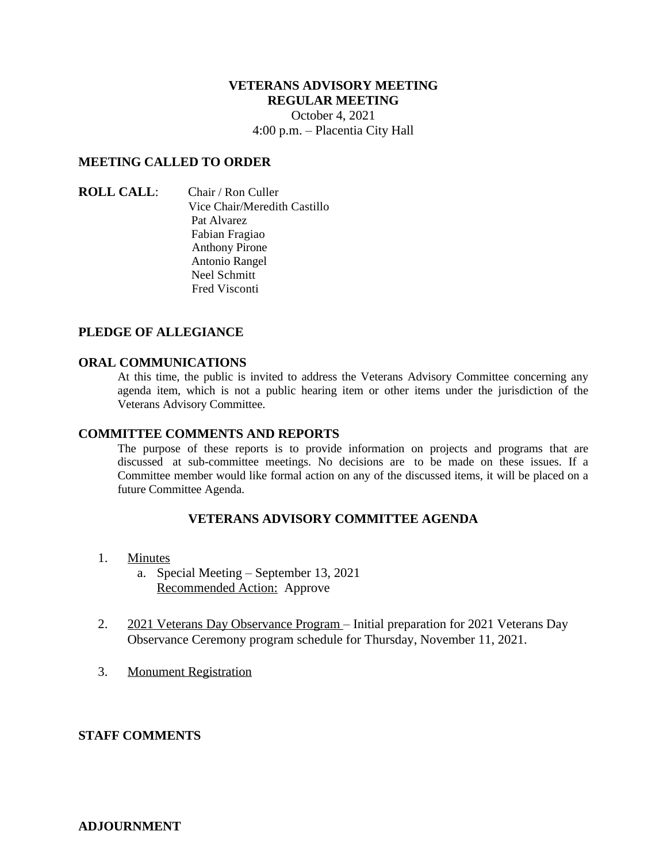## **VETERANS ADVISORY MEETING REGULAR MEETING**

October 4, 2021 4:00 p.m. – Placentia City Hall

### **MEETING CALLED TO ORDER**

**ROLL CALL**: Chair / Ron Culler Vice Chair/Meredith Castillo Pat Alvarez Fabian Fragiao Anthony Pirone Antonio Rangel Neel Schmitt Fred Visconti

### **PLEDGE OF ALLEGIANCE**

#### **ORAL COMMUNICATIONS**

At this time, the public is invited to address the Veterans Advisory Committee concerning any agenda item, which is not a public hearing item or other items under the jurisdiction of the Veterans Advisory Committee.

#### **COMMITTEE COMMENTS AND REPORTS**

The purpose of these reports is to provide information on projects and programs that are discussed at sub-committee meetings. No decisions are to be made on these issues. If a Committee member would like formal action on any of the discussed items, it will be placed on a future Committee Agenda.

### **VETERANS ADVISORY COMMITTEE AGENDA**

- 1. Minutes
	- a. Special Meeting September 13, 2021 Recommended Action: Approve
- 2. 2021 Veterans Day Observance Program Initial preparation for 2021 Veterans Day Observance Ceremony program schedule for Thursday, November 11, 2021.
- 3. Monument Registration

#### **STAFF COMMENTS**

### **ADJOURNMENT**